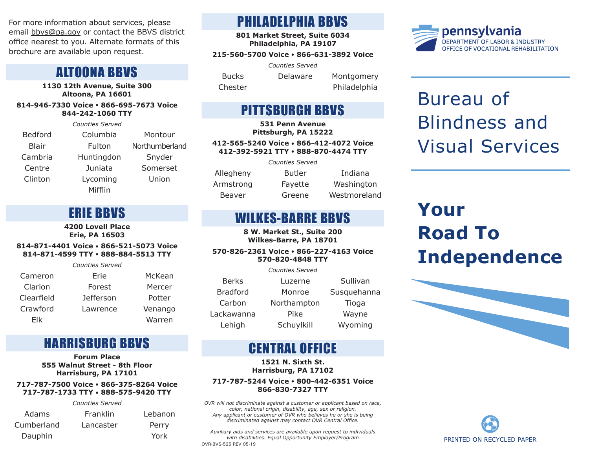For more information about services, please email bbvs@pa.gov or contact the BBVS district office nearest to you. Alternate formats of this brochure are available upon request.

### ALTOONA BBVS

**1130 12th Avenue, Suite 300 Altoona, PA 16601**

**814-946-7330 Voice • 866-695-7673 Voice 844-242-1060 TTY**

*Counties Served* Bedford Columbia Montour Blair Fulton Northumberland Cambria Huntingdon Snyder Centre Juniata Somerset Clinton Lycoming Union Mifflin

## ERIE BBVS

**4200 Lovell Place Erie, PA 16503**

**814-871-4401 Voice • 866-521-5073 Voice 814-871-4599 TTY • 888-884-5513 TTY**

*Counties Served* Cameron Erie McKean Clarion Forest Mercer Clearfield Jefferson Potter Crawford Lawrence Venango Elk Warren

## HARRISBURG BBVS

**Forum Place 555 Walnut Street - 8th Floor Harrisburg, PA 17101**

### **717-787-7500 Voice • 866-375-8264 Voice 717-787-1733 TTY • 888-575-9420 TTY**

|            | <b>Counties Served</b> |         |
|------------|------------------------|---------|
| Adams      | Franklin               | Lebanon |
| Cumberland | Lancaster              | Perry   |
| Dauphin    |                        | York    |

## PHILADELPHIA BBVS

**801 Market Street, Suite 6034 Philadelphia, PA 19107**

### **215-560-5700 Voice • 866-631-3892 Voice**

*Counties Served* Bucks Delaware Montgomery Chester Philadelphia

## PITTSBURGH BBVS

**531 Penn Avenue Pittsburgh, PA 15222**

**412-565-5240 Voice • 866-412-4072 Voice 412-392-5921 TTY • 888-870-4474 TTY**

*Counties Served*

Allegheny Butler Indiana Armstrong Fayette Washington Beaver Greene Westmoreland

## WILKES-BARRE BBVS

**8 W. Market St., Suite 200 Wilkes-Barre, PA 18701**

### **570-826-2361 Voice • 866-227-4163 Voice 570-820-4848 TTY**

|                 | <b>Counties Served</b> |             |
|-----------------|------------------------|-------------|
| <b>Berks</b>    | Luzerne                | Sullivan    |
| <b>Bradford</b> | Monroe                 | Susquehanna |
| Carbon          | Northampton            | Tioga       |
| Lackawanna      | Pike                   | Wayne       |
| Lehigh          | Schuylkill             | Wyoming     |

## CENTRAL OFFICE

**1521 N. Sixth St. Harrisburg, PA 17102**

#### **717-787-5244 Voice • 800-442-6351 Voice 866-830-7327 TTY**

*OVR will not discriminate against a customer or applicant based on race, color, national origin, disability, age, sex or religion. Any applicant or customer of OVR who believes he or she is being discriminated against may contact OVR Central Office.* 

OVR-BVS-525 REV 05-19 *Auxiliary aids and services are available upon request to individuals with disabilities. Equal Opportunity Employer/Program*



# Bureau of Blindness and Visual Services

# **Your Road To Independence**